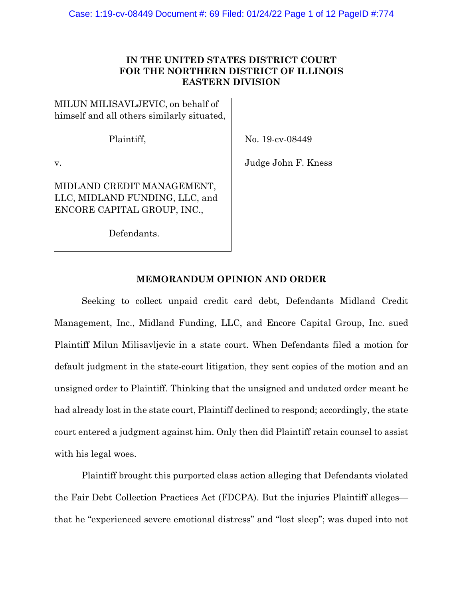## **IN THE UNITED STATES DISTRICT COURT FOR THE NORTHERN DISTRICT OF ILLINOIS EASTERN DIVISION**

MILUN MILISAVLJEVIC, on behalf of himself and all others similarly situated,

Plaintiff,

No. 19-cv-08449

v.

MIDLAND CREDIT MANAGEMENT, LLC, MIDLAND FUNDING, LLC, and ENCORE CAPITAL GROUP, INC.,

Defendants.

Judge John F. Kness

# **MEMORANDUM OPINION AND ORDER**

 Seeking to collect unpaid credit card debt, Defendants Midland Credit Management, Inc., Midland Funding, LLC, and Encore Capital Group, Inc. sued Plaintiff Milun Milisavljevic in a state court. When Defendants filed a motion for default judgment in the state-court litigation, they sent copies of the motion and an unsigned order to Plaintiff. Thinking that the unsigned and undated order meant he had already lost in the state court, Plaintiff declined to respond; accordingly, the state court entered a judgment against him. Only then did Plaintiff retain counsel to assist with his legal woes.

 Plaintiff brought this purported class action alleging that Defendants violated the Fair Debt Collection Practices Act (FDCPA). But the injuries Plaintiff alleges that he "experienced severe emotional distress" and "lost sleep"; was duped into not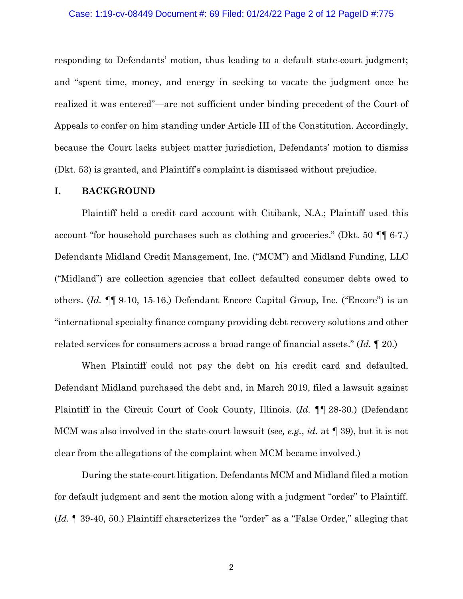#### Case: 1:19-cv-08449 Document #: 69 Filed: 01/24/22 Page 2 of 12 PageID #:775

responding to Defendants' motion, thus leading to a default state-court judgment; and "spent time, money, and energy in seeking to vacate the judgment once he realized it was entered"—are not sufficient under binding precedent of the Court of Appeals to confer on him standing under Article III of the Constitution. Accordingly, because the Court lacks subject matter jurisdiction, Defendants' motion to dismiss (Dkt. 53) is granted, and Plaintiff's complaint is dismissed without prejudice.

#### **I. BACKGROUND**

Plaintiff held a credit card account with Citibank, N.A.; Plaintiff used this account "for household purchases such as clothing and groceries." (Dkt. 50 ¶¶ 6-7.) Defendants Midland Credit Management, Inc. ("MCM") and Midland Funding, LLC ("Midland") are collection agencies that collect defaulted consumer debts owed to others. (*Id.* ¶¶ 9-10, 15-16.) Defendant Encore Capital Group, Inc. ("Encore") is an "international specialty finance company providing debt recovery solutions and other related services for consumers across a broad range of financial assets." (*Id.* ¶ 20.)

When Plaintiff could not pay the debt on his credit card and defaulted, Defendant Midland purchased the debt and, in March 2019, filed a lawsuit against Plaintiff in the Circuit Court of Cook County, Illinois. (*Id.* ¶¶ 28-30.) (Defendant MCM was also involved in the state-court lawsuit (*see, e.g.*, *id.* at ¶ 39), but it is not clear from the allegations of the complaint when MCM became involved.)

During the state-court litigation, Defendants MCM and Midland filed a motion for default judgment and sent the motion along with a judgment "order" to Plaintiff. (*Id.* ¶ 39-40, 50.) Plaintiff characterizes the "order" as a "False Order," alleging that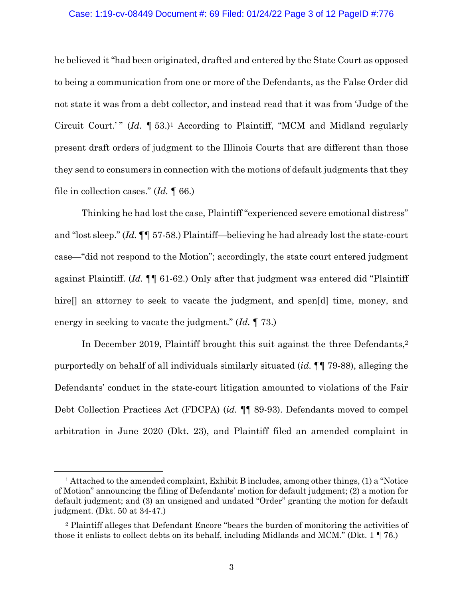### Case: 1:19-cv-08449 Document #: 69 Filed: 01/24/22 Page 3 of 12 PageID #:776

he believed it "had been originated, drafted and entered by the State Court as opposed to being a communication from one or more of the Defendants, as the False Order did not state it was from a debt collector, and instead read that it was from 'Judge of the Circuit Court.'" (*Id.* 153.)<sup>1</sup> According to Plaintiff, "MCM and Midland regularly present draft orders of judgment to the Illinois Courts that are different than those they send to consumers in connection with the motions of default judgments that they file in collection cases." (*Id.* ¶ 66.)

Thinking he had lost the case, Plaintiff "experienced severe emotional distress" and "lost sleep." (*Id.* ¶¶ 57-58.) Plaintiff—believing he had already lost the state-court case—"did not respond to the Motion"; accordingly, the state court entered judgment against Plaintiff. (*Id.* ¶¶ 61-62.) Only after that judgment was entered did "Plaintiff hire<sup>[]</sup> an attorney to seek to vacate the judgment, and spen<sup>[d]</sup> time, money, and energy in seeking to vacate the judgment." (*Id.* ¶ 73.)

In December 2019, Plaintiff brought this suit against the three Defendants,<sup>2</sup> purportedly on behalf of all individuals similarly situated (*id.* ¶¶ 79-88), alleging the Defendants' conduct in the state-court litigation amounted to violations of the Fair Debt Collection Practices Act (FDCPA) (*id.* ¶¶ 89-93). Defendants moved to compel arbitration in June 2020 (Dkt. 23), and Plaintiff filed an amended complaint in

<sup>1</sup> Attached to the amended complaint, Exhibit B includes, among other things, (1) a "Notice of Motion" announcing the filing of Defendants' motion for default judgment; (2) a motion for default judgment; and (3) an unsigned and undated "Order" granting the motion for default judgment. (Dkt. 50 at 34-47.)

<sup>2</sup> Plaintiff alleges that Defendant Encore "bears the burden of monitoring the activities of those it enlists to collect debts on its behalf, including Midlands and MCM." (Dkt. 1 ¶ 76.)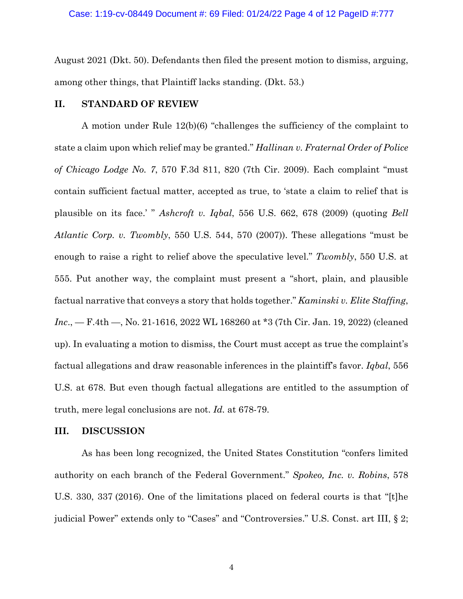August 2021 (Dkt. 50). Defendants then filed the present motion to dismiss, arguing, among other things, that Plaintiff lacks standing. (Dkt. 53.)

## **II. STANDARD OF REVIEW**

A motion under Rule 12(b)(6) "challenges the sufficiency of the complaint to state a claim upon which relief may be granted." *Hallinan v. Fraternal Order of Police of Chicago Lodge No. 7*, 570 F.3d 811, 820 (7th Cir. 2009). Each complaint "must contain sufficient factual matter, accepted as true, to 'state a claim to relief that is plausible on its face.' " *Ashcroft v. Iqbal*, 556 U.S. 662, 678 (2009) (quoting *Bell Atlantic Corp. v. Twombly*, 550 U.S. 544, 570 (2007)). These allegations "must be enough to raise a right to relief above the speculative level." *Twombly*, 550 U.S. at 555. Put another way, the complaint must present a "short, plain, and plausible factual narrative that conveys a story that holds together." *Kaminski v. Elite Staffing*, *Inc*., — F.4th —, No. 21-1616, 2022 WL 168260 at \*3 (7th Cir. Jan. 19, 2022) (cleaned up). In evaluating a motion to dismiss, the Court must accept as true the complaint's factual allegations and draw reasonable inferences in the plaintiff's favor. *Iqbal*, 556 U.S. at 678. But even though factual allegations are entitled to the assumption of truth, mere legal conclusions are not. *Id.* at 678-79.

#### **III. DISCUSSION**

As has been long recognized, the United States Constitution "confers limited authority on each branch of the Federal Government." *Spokeo, Inc. v. Robins*, 578 U.S. 330, 337 (2016). One of the limitations placed on federal courts is that "[t]he judicial Power" extends only to "Cases" and "Controversies." U.S. Const. art III, § 2;

4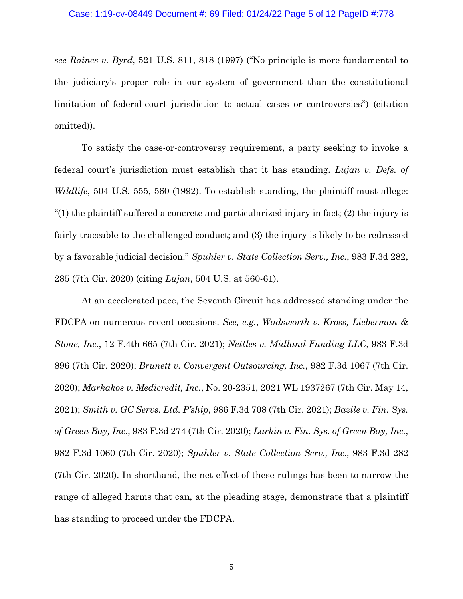*see Raines v. Byrd*, 521 U.S. 811, 818 (1997) ("No principle is more fundamental to the judiciary's proper role in our system of government than the constitutional limitation of federal-court jurisdiction to actual cases or controversies") (citation omitted)).

To satisfy the case-or-controversy requirement, a party seeking to invoke a federal court's jurisdiction must establish that it has standing. *Lujan v. Defs. of Wildlife*, 504 U.S. 555, 560 (1992). To establish standing, the plaintiff must allege: "(1) the plaintiff suffered a concrete and particularized injury in fact; (2) the injury is fairly traceable to the challenged conduct; and (3) the injury is likely to be redressed by a favorable judicial decision." *Spuhler v. State Collection Serv., Inc.*, 983 F.3d 282, 285 (7th Cir. 2020) (citing *Lujan*, 504 U.S. at 560-61).

At an accelerated pace, the Seventh Circuit has addressed standing under the FDCPA on numerous recent occasions. *See, e.g.*, *Wadsworth v. Kross, Lieberman & Stone, Inc.*, 12 F.4th 665 (7th Cir. 2021); *Nettles v. Midland Funding LLC*, 983 F.3d 896 (7th Cir. 2020); *Brunett v. Convergent Outsourcing, Inc.*, 982 F.3d 1067 (7th Cir. 2020); *Markakos v. Medicredit, Inc.*, No. 20-2351, 2021 WL 1937267 (7th Cir. May 14, 2021); *Smith v. GC Servs. Ltd. P'ship*, 986 F.3d 708 (7th Cir. 2021); *Bazile v. Fin. Sys. of Green Bay, Inc.*, 983 F.3d 274 (7th Cir. 2020); *Larkin v. Fin. Sys. of Green Bay, Inc.*, 982 F.3d 1060 (7th Cir. 2020); *Spuhler v. State Collection Serv., Inc.*, 983 F.3d 282 (7th Cir. 2020). In shorthand, the net effect of these rulings has been to narrow the range of alleged harms that can, at the pleading stage, demonstrate that a plaintiff has standing to proceed under the FDCPA.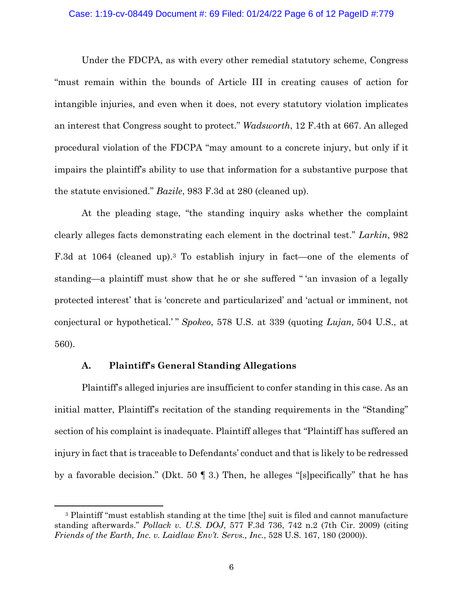#### Case: 1:19-cv-08449 Document #: 69 Filed: 01/24/22 Page 6 of 12 PageID #:779

Under the FDCPA, as with every other remedial statutory scheme, Congress "must remain within the bounds of Article III in creating causes of action for intangible injuries, and even when it does, not every statutory violation implicates an interest that Congress sought to protect." *Wadsworth*, 12 F.4th at 667. An alleged procedural violation of the FDCPA "may amount to a concrete injury, but only if it impairs the plaintiff's ability to use that information for a substantive purpose that the statute envisioned." *Bazile*, 983 F.3d at 280 (cleaned up).

At the pleading stage, "the standing inquiry asks whether the complaint clearly alleges facts demonstrating each element in the doctrinal test." *Larkin*, 982 F.3d at 1064 (cleaned up).3 To establish injury in fact—one of the elements of standing—a plaintiff must show that he or she suffered " 'an invasion of a legally protected interest' that is 'concrete and particularized' and 'actual or imminent, not conjectural or hypothetical.' " *Spokeo*, 578 U.S. at 339 (quoting *Lujan,* 504 U.S., at 560).

## **A. Plaintiff's General Standing Allegations**

Plaintiff's alleged injuries are insufficient to confer standing in this case. As an initial matter, Plaintiff's recitation of the standing requirements in the "Standing" section of his complaint is inadequate. Plaintiff alleges that "Plaintiff has suffered an injury in fact that is traceable to Defendants' conduct and that is likely to be redressed by a favorable decision." (Dkt. 50 ¶ 3.) Then, he alleges "[s]pecifically" that he has

<sup>3</sup> Plaintiff "must establish standing at the time [the] suit is filed and cannot manufacture standing afterwards." *Pollack v. U.S. DOJ*, 577 F.3d 736, 742 n.2 (7th Cir. 2009) (citing *Friends of the Earth, Inc. v. Laidlaw Env't. Servs., Inc.*, 528 U.S. 167, 180 (2000)).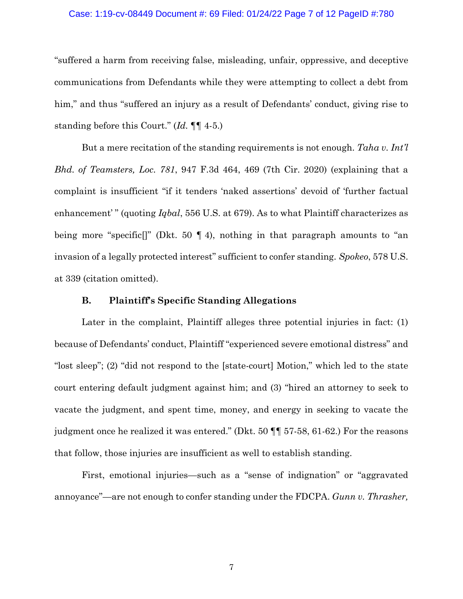#### Case: 1:19-cv-08449 Document #: 69 Filed: 01/24/22 Page 7 of 12 PageID #:780

"suffered a harm from receiving false, misleading, unfair, oppressive, and deceptive communications from Defendants while they were attempting to collect a debt from him," and thus "suffered an injury as a result of Defendants' conduct, giving rise to standing before this Court." (*Id.* ¶¶ 4-5.)

But a mere recitation of the standing requirements is not enough. *Taha v. Int'l Bhd. of Teamsters, Loc. 781*, 947 F.3d 464, 469 (7th Cir. 2020) (explaining that a complaint is insufficient "if it tenders 'naked assertions' devoid of 'further factual enhancement'" (quoting *Iqbal*, 556 U.S. at 679). As to what Plaintiff characterizes as being more "specific[]" (Dkt. 50 ¶ 4), nothing in that paragraph amounts to "an invasion of a legally protected interest" sufficient to confer standing. *Spokeo*, 578 U.S. at 339 (citation omitted).

## **B. Plaintiff's Specific Standing Allegations**

Later in the complaint, Plaintiff alleges three potential injuries in fact: (1) because of Defendants' conduct, Plaintiff "experienced severe emotional distress" and "lost sleep"; (2) "did not respond to the [state-court] Motion," which led to the state court entering default judgment against him; and (3) "hired an attorney to seek to vacate the judgment, and spent time, money, and energy in seeking to vacate the judgment once he realized it was entered." (Dkt. 50 ¶¶ 57-58, 61-62.) For the reasons that follow, those injuries are insufficient as well to establish standing.

First, emotional injuries—such as a "sense of indignation" or "aggravated annoyance"—are not enough to confer standing under the FDCPA. *Gunn v. Thrasher,* 

7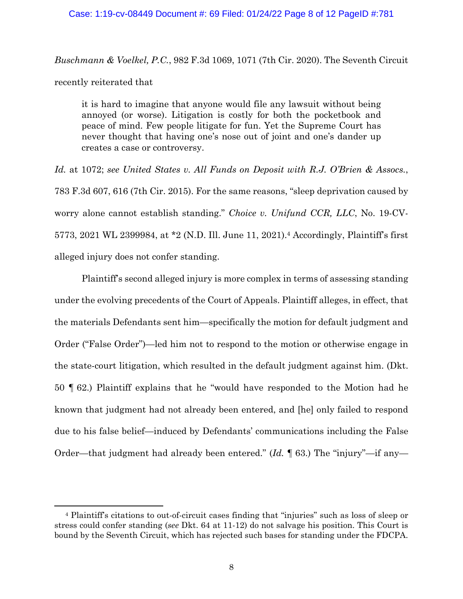## Case: 1:19-cv-08449 Document #: 69 Filed: 01/24/22 Page 8 of 12 PageID #:781

*Buschmann & Voelkel, P.C.*, 982 F.3d 1069, 1071 (7th Cir. 2020). The Seventh Circuit recently reiterated that

it is hard to imagine that anyone would file any lawsuit without being annoyed (or worse). Litigation is costly for both the pocketbook and peace of mind. Few people litigate for fun. Yet the Supreme Court has never thought that having one's nose out of joint and one's dander up creates a case or controversy.

*Id.* at 1072; *see United States v. All Funds on Deposit with R.J. O'Brien & Assocs.*, 783 F.3d 607, 616 (7th Cir. 2015). For the same reasons, "sleep deprivation caused by worry alone cannot establish standing." *Choice v. Unifund CCR, LLC*, No. 19-CV-5773, 2021 WL 2399984, at \*2 (N.D. Ill. June 11, 2021).4 Accordingly, Plaintiff's first alleged injury does not confer standing.

Plaintiff's second alleged injury is more complex in terms of assessing standing under the evolving precedents of the Court of Appeals. Plaintiff alleges, in effect, that the materials Defendants sent him—specifically the motion for default judgment and Order ("False Order")—led him not to respond to the motion or otherwise engage in the state-court litigation, which resulted in the default judgment against him. (Dkt. 50 ¶ 62.) Plaintiff explains that he "would have responded to the Motion had he known that judgment had not already been entered, and [he] only failed to respond due to his false belief—induced by Defendants' communications including the False Order—that judgment had already been entered." (*Id.* ¶ 63.) The "injury"—if any—

<sup>4</sup> Plaintiff's citations to out-of-circuit cases finding that "injuries" such as loss of sleep or stress could confer standing (*see* Dkt. 64 at 11-12) do not salvage his position. This Court is bound by the Seventh Circuit, which has rejected such bases for standing under the FDCPA.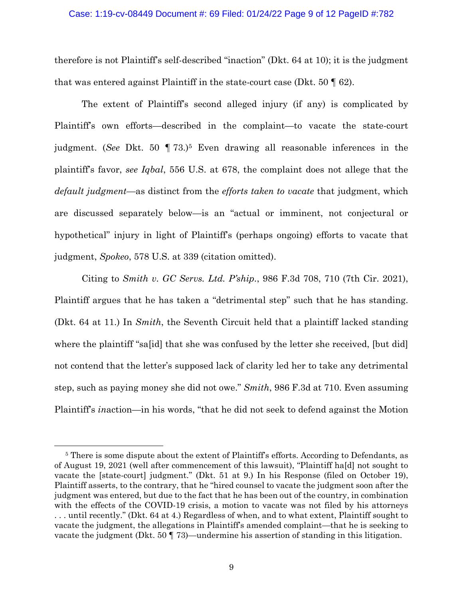## Case: 1:19-cv-08449 Document #: 69 Filed: 01/24/22 Page 9 of 12 PageID #:782

therefore is not Plaintiff's self-described "inaction" (Dkt. 64 at 10); it is the judgment that was entered against Plaintiff in the state-court case (Dkt.  $50 \text{ } \text{\textdegree{}}(62)$ ).

The extent of Plaintiff's second alleged injury (if any) is complicated by Plaintiff's own efforts—described in the complaint—to vacate the state-court judgment. (*See* Dkt. 50 ¶ 73.)5 Even drawing all reasonable inferences in the plaintiff's favor, *see Iqbal*, 556 U.S. at 678, the complaint does not allege that the *default judgment*—as distinct from the *efforts taken to vacate* that judgment, which are discussed separately below—is an "actual or imminent, not conjectural or hypothetical" injury in light of Plaintiff's (perhaps ongoing) efforts to vacate that judgment, *Spokeo*, 578 U.S. at 339 (citation omitted).

Citing to *Smith v. GC Servs. Ltd. P'ship.*, 986 F.3d 708, 710 (7th Cir. 2021), Plaintiff argues that he has taken a "detrimental step" such that he has standing. (Dkt. 64 at 11.) In *Smith*, the Seventh Circuit held that a plaintiff lacked standing where the plaintiff "sa[id] that she was confused by the letter she received, [but did] not contend that the letter's supposed lack of clarity led her to take any detrimental step, such as paying money she did not owe." *Smith*, 986 F.3d at 710. Even assuming Plaintiff's *in*action—in his words, "that he did not seek to defend against the Motion

<sup>&</sup>lt;sup>5</sup> There is some dispute about the extent of Plaintiff's efforts. According to Defendants, as of August 19, 2021 (well after commencement of this lawsuit), "Plaintiff ha[d] not sought to vacate the [state-court] judgment." (Dkt. 51 at 9.) In his Response (filed on October 19), Plaintiff asserts, to the contrary, that he "hired counsel to vacate the judgment soon after the judgment was entered, but due to the fact that he has been out of the country, in combination with the effects of the COVID-19 crisis, a motion to vacate was not filed by his attorneys . . . until recently." (Dkt. 64 at 4.) Regardless of when, and to what extent, Plaintiff sought to vacate the judgment, the allegations in Plaintiff's amended complaint—that he is seeking to vacate the judgment (Dkt. 50 ¶ 73)—undermine his assertion of standing in this litigation.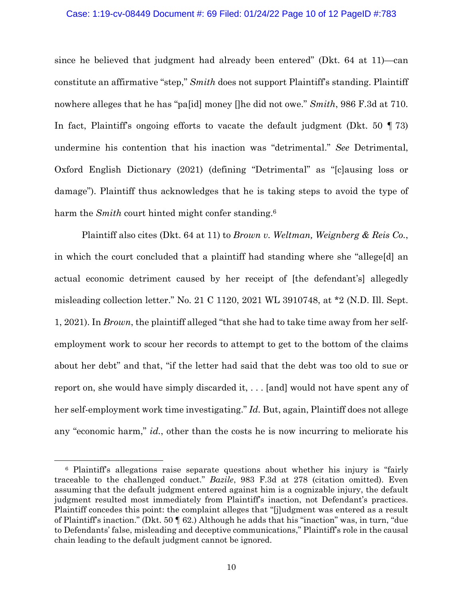#### Case: 1:19-cv-08449 Document #: 69 Filed: 01/24/22 Page 10 of 12 PageID #:783

since he believed that judgment had already been entered" (Dkt. 64 at 11)—can constitute an affirmative "step," *Smith* does not support Plaintiff's standing. Plaintiff nowhere alleges that he has "pa[id] money []he did not owe." *Smith*, 986 F.3d at 710. In fact, Plaintiff's ongoing efforts to vacate the default judgment (Dkt. 50 ¶ 73) undermine his contention that his inaction was "detrimental." *See* Detrimental, Oxford English Dictionary (2021) (defining "Detrimental" as "[c]ausing loss or damage"). Plaintiff thus acknowledges that he is taking steps to avoid the type of harm the *Smith* court hinted might confer standing.<sup>6</sup>

Plaintiff also cites (Dkt. 64 at 11) to *Brown v. Weltman, Weignberg & Reis Co.*, in which the court concluded that a plaintiff had standing where she "allege[d] an actual economic detriment caused by her receipt of [the defendant's] allegedly misleading collection letter." No. 21 C 1120, 2021 WL 3910748, at \*2 (N.D. Ill. Sept. 1, 2021). In *Brown*, the plaintiff alleged "that she had to take time away from her selfemployment work to scour her records to attempt to get to the bottom of the claims about her debt" and that, "if the letter had said that the debt was too old to sue or report on, she would have simply discarded it, . . . [and] would not have spent any of her self-employment work time investigating." *Id.* But, again, Plaintiff does not allege any "economic harm," *id.*, other than the costs he is now incurring to meliorate his

<sup>6</sup> Plaintiff's allegations raise separate questions about whether his injury is "fairly traceable to the challenged conduct." *Bazile*, 983 F.3d at 278 (citation omitted). Even assuming that the default judgment entered against him is a cognizable injury, the default judgment resulted most immediately from Plaintiff's inaction, not Defendant's practices. Plaintiff concedes this point: the complaint alleges that "[j]udgment was entered as a result of Plaintiff's inaction." (Dkt. 50 ¶ 62.) Although he adds that his "inaction" was, in turn, "due to Defendants' false, misleading and deceptive communications," Plaintiff's role in the causal chain leading to the default judgment cannot be ignored.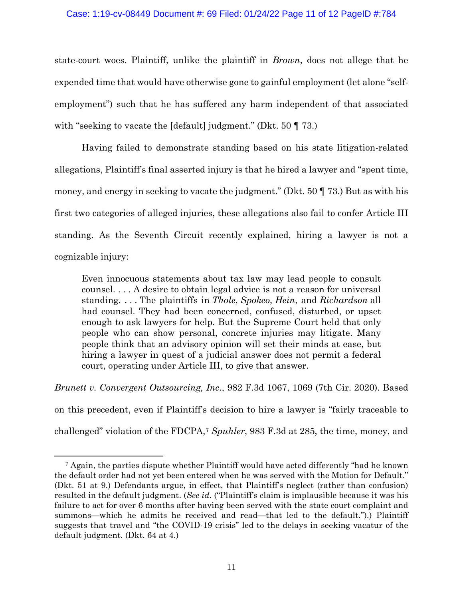## Case: 1:19-cv-08449 Document #: 69 Filed: 01/24/22 Page 11 of 12 PageID #:784

state-court woes. Plaintiff, unlike the plaintiff in *Brown*, does not allege that he expended time that would have otherwise gone to gainful employment (let alone "selfemployment") such that he has suffered any harm independent of that associated with "seeking to vacate the [default] judgment." (Dkt. 50 ¶ 73.)

Having failed to demonstrate standing based on his state litigation-related allegations, Plaintiff's final asserted injury is that he hired a lawyer and "spent time, money, and energy in seeking to vacate the judgment." (Dkt. 50 ¶ 73.) But as with his first two categories of alleged injuries, these allegations also fail to confer Article III standing. As the Seventh Circuit recently explained, hiring a lawyer is not a cognizable injury:

Even innocuous statements about tax law may lead people to consult counsel. . . . A desire to obtain legal advice is not a reason for universal standing. . . . The plaintiffs in *Thole*, *Spokeo*, *Hein*, and *Richardson* all had counsel. They had been concerned, confused, disturbed, or upset enough to ask lawyers for help. But the Supreme Court held that only people who can show personal, concrete injuries may litigate. Many people think that an advisory opinion will set their minds at ease, but hiring a lawyer in quest of a judicial answer does not permit a federal court, operating under Article III, to give that answer.

on this precedent, even if Plaintiff's decision to hire a lawyer is "fairly traceable to challenged" violation of the FDCPA,7 *Spuhler*, 983 F.3d at 285, the time, money, and

*Brunett v. Convergent Outsourcing, Inc.*, 982 F.3d 1067, 1069 (7th Cir. 2020). Based

<sup>7</sup> Again, the parties dispute whether Plaintiff would have acted differently "had he known the default order had not yet been entered when he was served with the Motion for Default." (Dkt. 51 at 9.) Defendants argue, in effect, that Plaintiff's neglect (rather than confusion) resulted in the default judgment. (*See id.* ("Plaintiff's claim is implausible because it was his failure to act for over 6 months after having been served with the state court complaint and summons—which he admits he received and read—that led to the default.").) Plaintiff suggests that travel and "the COVID-19 crisis" led to the delays in seeking vacatur of the default judgment. (Dkt. 64 at 4.)